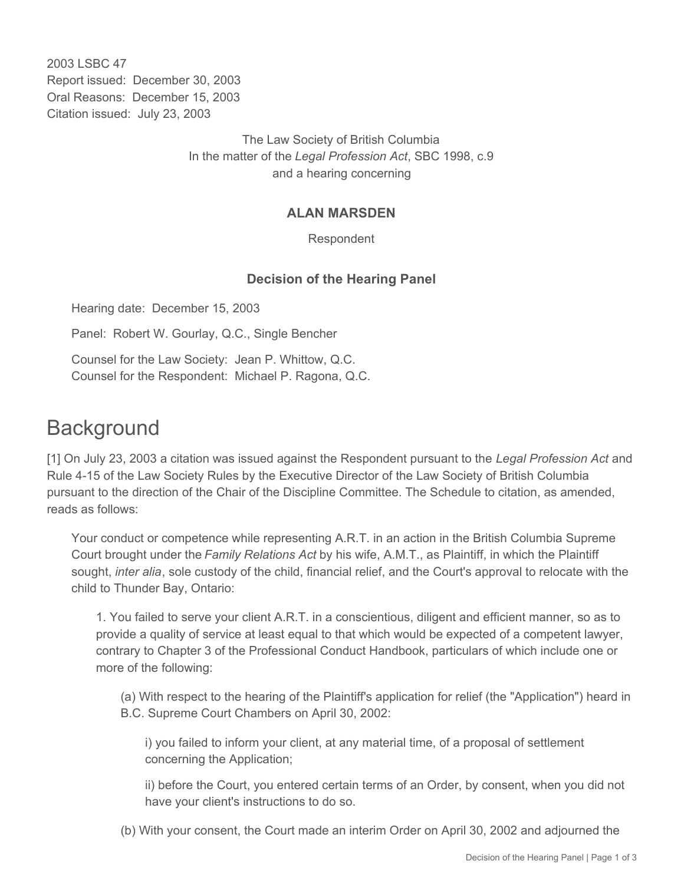2003 LSBC 47 Report issued: December 30, 2003 Oral Reasons: December 15, 2003 Citation issued: July 23, 2003

> The Law Society of British Columbia In the matter of the *Legal Profession Act*, SBC 1998, c.9 and a hearing concerning

## **ALAN MARSDEN**

Respondent

## **Decision of the Hearing Panel**

Hearing date: December 15, 2003

Panel: Robert W. Gourlay, Q.C., Single Bencher

Counsel for the Law Society: Jean P. Whittow, Q.C. Counsel for the Respondent: Michael P. Ragona, Q.C.

## **Background**

[1] On July 23, 2003 a citation was issued against the Respondent pursuant to the *Legal Profession Act* and Rule 4-15 of the Law Society Rules by the Executive Director of the Law Society of British Columbia pursuant to the direction of the Chair of the Discipline Committee. The Schedule to citation, as amended, reads as follows:

Your conduct or competence while representing A.R.T. in an action in the British Columbia Supreme Court brought under the *Family Relations Act* by his wife, A.M.T., as Plaintiff, in which the Plaintiff sought, *inter alia*, sole custody of the child, financial relief, and the Court's approval to relocate with the child to Thunder Bay, Ontario:

1. You failed to serve your client A.R.T. in a conscientious, diligent and efficient manner, so as to provide a quality of service at least equal to that which would be expected of a competent lawyer, contrary to Chapter 3 of the Professional Conduct Handbook, particulars of which include one or more of the following:

(a) With respect to the hearing of the Plaintiff's application for relief (the "Application") heard in B.C. Supreme Court Chambers on April 30, 2002:

i) you failed to inform your client, at any material time, of a proposal of settlement concerning the Application;

ii) before the Court, you entered certain terms of an Order, by consent, when you did not have your client's instructions to do so.

(b) With your consent, the Court made an interim Order on April 30, 2002 and adjourned the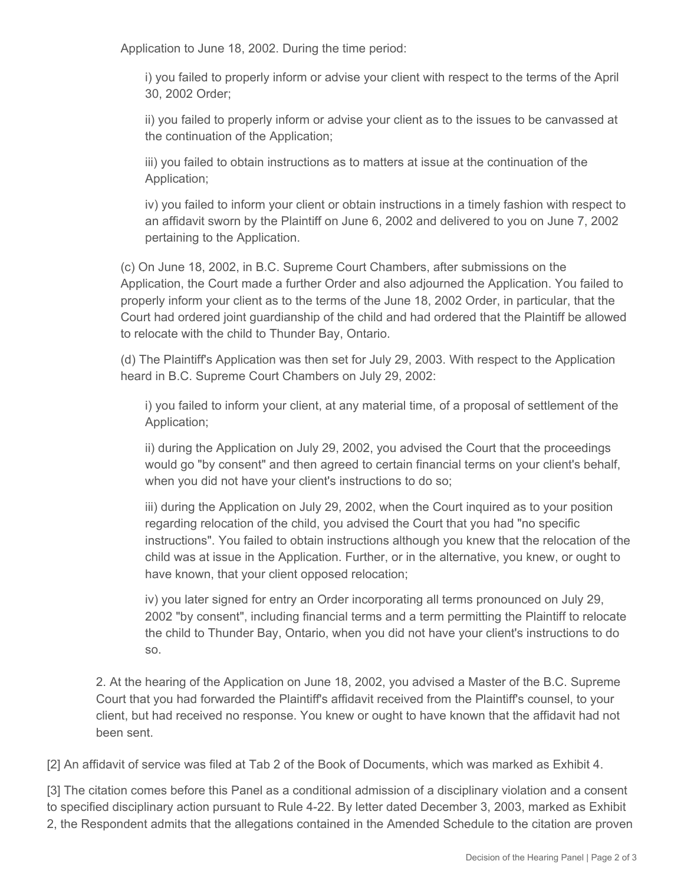Application to June 18, 2002. During the time period:

i) you failed to properly inform or advise your client with respect to the terms of the April 30, 2002 Order;

ii) you failed to properly inform or advise your client as to the issues to be canvassed at the continuation of the Application;

iii) you failed to obtain instructions as to matters at issue at the continuation of the Application;

iv) you failed to inform your client or obtain instructions in a timely fashion with respect to an affidavit sworn by the Plaintiff on June 6, 2002 and delivered to you on June 7, 2002 pertaining to the Application.

(c) On June 18, 2002, in B.C. Supreme Court Chambers, after submissions on the Application, the Court made a further Order and also adjourned the Application. You failed to properly inform your client as to the terms of the June 18, 2002 Order, in particular, that the Court had ordered joint guardianship of the child and had ordered that the Plaintiff be allowed to relocate with the child to Thunder Bay, Ontario.

(d) The Plaintiff's Application was then set for July 29, 2003. With respect to the Application heard in B.C. Supreme Court Chambers on July 29, 2002:

i) you failed to inform your client, at any material time, of a proposal of settlement of the Application;

ii) during the Application on July 29, 2002, you advised the Court that the proceedings would go "by consent" and then agreed to certain financial terms on your client's behalf, when you did not have your client's instructions to do so;

iii) during the Application on July 29, 2002, when the Court inquired as to your position regarding relocation of the child, you advised the Court that you had "no specific instructions". You failed to obtain instructions although you knew that the relocation of the child was at issue in the Application. Further, or in the alternative, you knew, or ought to have known, that your client opposed relocation;

iv) you later signed for entry an Order incorporating all terms pronounced on July 29, 2002 "by consent", including financial terms and a term permitting the Plaintiff to relocate the child to Thunder Bay, Ontario, when you did not have your client's instructions to do so.

2. At the hearing of the Application on June 18, 2002, you advised a Master of the B.C. Supreme Court that you had forwarded the Plaintiff's affidavit received from the Plaintiff's counsel, to your client, but had received no response. You knew or ought to have known that the affidavit had not been sent.

[2] An affidavit of service was filed at Tab 2 of the Book of Documents, which was marked as Exhibit 4.

[3] The citation comes before this Panel as a conditional admission of a disciplinary violation and a consent to specified disciplinary action pursuant to Rule 4-22. By letter dated December 3, 2003, marked as Exhibit 2, the Respondent admits that the allegations contained in the Amended Schedule to the citation are proven